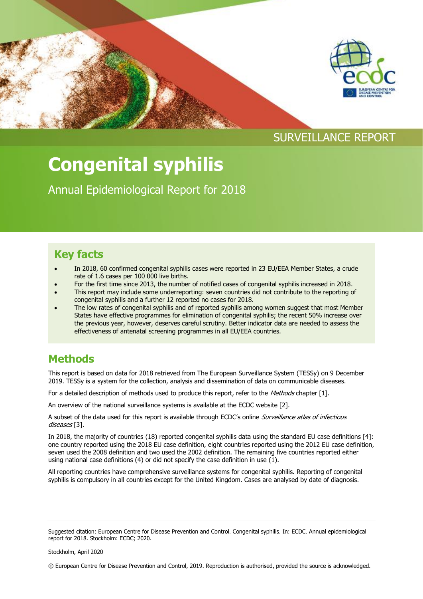

# **Congenital syphilis**

Annual Epidemiological Report for 2018

# **Key facts**

- In 2018, 60 confirmed congenital syphilis cases were reported in 23 EU/EEA Member States, a crude rate of 1.6 cases per 100 000 live births.
- For the first time since 2013, the number of notified cases of congenital syphilis increased in 2018.
- This report may include some underreporting: seven countries did not contribute to the reporting of congenital syphilis and a further 12 reported no cases for 2018.
- The low rates of congenital syphilis and of reported syphilis among women suggest that most Member States have effective programmes for elimination of congenital syphilis; the recent 50% increase over the previous year, however, deserves careful scrutiny. Better indicator data are needed to assess the effectiveness of antenatal screening programmes in all EU/EEA countries.

## **Methods**

This report is based on data for 2018 retrieved from The European Surveillance System (TESSy) on 9 December 2019. TESSy is a system for the collection, analysis and dissemination of data on communicable diseases.

For a detailed description of methods used to produce this report, refer to the Methods chapter [1].

An overview of the national surveillance systems is available at the ECDC website [2].

A subset of the data used for this report is available through ECDC's online Surveillance atlas of infectious diseases [3].

In 2018, the majority of countries (18) reported congenital syphilis data using the standard EU case definitions [4]: one country reported using the 2018 EU case definition, eight countries reported using the 2012 EU case definition, seven used the 2008 definition and two used the 2002 definition. The remaining five countries reported either using national case definitions (4) or did not specify the case definition in use  $(1)$ .

All reporting countries have comprehensive surveillance systems for congenital syphilis. Reporting of congenital syphilis is compulsory in all countries except for the United Kingdom. Cases are analysed by date of diagnosis.

© European Centre for Disease Prevention and Control, 2019. Reproduction is authorised, provided the source is acknowledged.

Suggested citation: European Centre for Disease Prevention and Control. Congenital syphilis. In: ECDC. Annual epidemiological report for 2018. Stockholm: ECDC; 2020.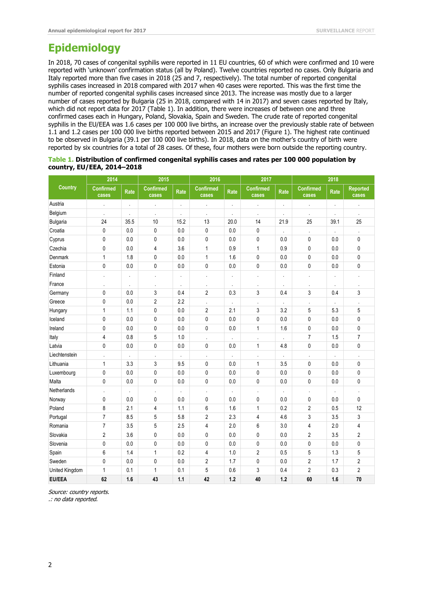### **Epidemiology**

In 2018, 70 cases of congenital syphilis were reported in 11 EU countries, 60 of which were confirmed and 10 were reported with 'unknown' confirmation status (all by Poland). Twelve countries reported no cases. Only Bulgaria and Italy reported more than five cases in 2018 (25 and 7, respectively). The total number of reported congenital syphilis cases increased in 2018 compared with 2017 when 40 cases were reported. This was the first time the number of reported congenital syphilis cases increased since 2013. The increase was mostly due to a larger number of cases reported by Bulgaria (25 in 2018, compared with 14 in 2017) and seven cases reported by Italy, which did not report data for 2017 (Table 1). In addition, there were increases of between one and three confirmed cases each in Hungary, Poland, Slovakia, Spain and Sweden. The crude rate of reported congenital syphilis in the EU/EEA was 1.6 cases per 100 000 live births, an increase over the previously stable rate of between 1.1 and 1.2 cases per 100 000 live births reported between 2015 and 2017 (Figure 1). The highest rate continued to be observed in Bulgaria (39.1 per 100 000 live births). In 2018, data on the mother's country of birth were reported by six countries for a total of 28 cases. Of these, four mothers were born outside the reporting country.

|                            | Table 1. Distribution of confirmed congenital syphilis cases and rates per 100 000 population by |  |
|----------------------------|--------------------------------------------------------------------------------------------------|--|
| country, EU/EEA, 2014–2018 |                                                                                                  |  |

| <b>Country</b>  | 2014                      |                      | 2015                      |                      | 2016                      |                      | 2017                      |                      | 2018                      |      |                          |
|-----------------|---------------------------|----------------------|---------------------------|----------------------|---------------------------|----------------------|---------------------------|----------------------|---------------------------|------|--------------------------|
|                 | <b>Confirmed</b><br>cases | Rate                 | <b>Confirmed</b><br>cases | Rate                 | <b>Confirmed</b><br>cases | Rate                 | <b>Confirmed</b><br>cases | Rate                 | <b>Confirmed</b><br>cases | Rate | <b>Reported</b><br>cases |
| Austria         | ä,                        | l,                   | $\epsilon$                | $\ddot{\phantom{a}}$ | ä,                        | $\ddot{\phantom{0}}$ | ÷,                        |                      |                           |      | l,                       |
| Belgium         |                           |                      | $\cdot$                   |                      | $\epsilon$                |                      |                           |                      |                           |      | ä,                       |
| <b>Bulgaria</b> | 24                        | 35.5                 | 10                        | 15.2                 | 13                        | 20.0                 | 14                        | 21.9                 | 25                        | 39.1 | 25                       |
| Croatia         | $\pmb{0}$                 | 0.0                  | $\mathbf 0$               | 0.0                  | $\pmb{0}$                 | 0.0                  | 0                         | l,                   |                           |      |                          |
| Cyprus          | $\mathbf 0$               | 0.0                  | $\mathbf{0}$              | 0.0                  | $\pmb{0}$                 | 0.0                  | 0                         | 0.0                  | 0                         | 0.0  | 0                        |
| Czechia         | $\mathbf 0$               | 0.0                  | 4                         | 3.6                  | 1                         | 0.9                  | 1                         | 0.9                  | $\mathbf 0$               | 0.0  | 0                        |
| Denmark         | 1                         | 1.8                  | $\pmb{0}$                 | 0.0                  | 1                         | 1.6                  | $\pmb{0}$                 | 0.0                  | $\pmb{0}$                 | 0.0  | $\pmb{0}$                |
| Estonia         | $\pmb{0}$                 | 0.0                  | $\mathbf 0$               | 0.0                  | $\pmb{0}$                 | 0.0                  | 0                         | 0.0                  | $\pmb{0}$                 | 0.0  | 0                        |
| Finland         | ä,                        | $\ddot{\phantom{0}}$ | ÷,                        | $\cdot$              | $\ddot{\phantom{a}}$      | $\ddot{\phantom{0}}$ | ä,                        | $\ddot{\phantom{0}}$ |                           | i,   | ä,                       |
| France          | $\ddot{\phantom{a}}$      | l,                   | ÷,                        | l,                   | ä,                        | ÷,                   | ä,                        | l,                   | $\cdot$                   |      | l,                       |
| Germany         | $\mathbf{0}$              | 0.0                  | 3                         | 0.4                  | $\overline{2}$            | 0.3                  | 3                         | 0.4                  | 3                         | 0.4  | 3                        |
| Greece          | $\mathbf 0$               | 0.0                  | $\overline{2}$            | 2.2                  | $\ddot{\phantom{1}}$      | $\ddot{\phantom{0}}$ | ä,                        | ÷.                   |                           |      |                          |
| Hungary         | 1                         | 1.1                  | $\mathbf{0}$              | 0.0                  | $\sqrt{2}$                | 2.1                  | 3                         | 3.2                  | 5                         | 5.3  | 5                        |
| Iceland         | $\mathbf 0$               | 0.0                  | $\pmb{0}$                 | 0.0                  | $\pmb{0}$                 | 0.0                  | 0                         | 0.0                  | 0                         | 0.0  | 0                        |
| Ireland         | $\mathbf 0$               | 0.0                  | $\mathbf 0$               | 0.0                  | $\pmb{0}$                 | 0.0                  | 1                         | 1.6                  | $\pmb{0}$                 | 0.0  | 0                        |
| Italy           | $\overline{4}$            | 0.8                  | 5                         | 1.0                  | ÷.                        | $\cdot$              | ÷.                        | $\ddot{\phantom{a}}$ | $\overline{7}$            | 1.5  | $\overline{7}$           |
| Latvia          | 0                         | 0.0                  | $\pmb{0}$                 | 0.0                  | 0                         | 0.0                  | 1                         | 4.8                  | 0                         | 0.0  | 0                        |
| Liechtenstein   | $\epsilon$                |                      | $\cdot$                   | ÷,                   | $\ddot{\phantom{a}}$      | ä,                   | $\epsilon$                |                      | $\mathbf{r}$              | ä,   | $\epsilon$               |
| Lithuania       | 1                         | 3.3                  | 3                         | 9.5                  | $\mathbf 0$               | 0.0                  | 1                         | 3.5                  | $\mathbf 0$               | 0.0  | 0                        |
| Luxembourg      | $\mathbf 0$               | 0.0                  | $\mathbf 0$               | 0.0                  | $\pmb{0}$                 | 0.0                  | 0                         | 0.0                  | 0                         | 0.0  | 0                        |
| Malta           | $\pmb{0}$                 | 0.0                  | $\pmb{0}$                 | 0.0                  | $\pmb{0}$                 | 0.0                  | 0                         | 0.0                  | 0                         | 0.0  | 0                        |
| Netherlands     | $\cdot$                   | ÷.                   | $\cdot$                   | l,                   | ÷.                        |                      | ÷.                        | ä,                   |                           |      | $\ddot{\phantom{a}}$     |
| Norway          | $\mathbf 0$               | 0.0                  | 0                         | 0.0                  | 0                         | 0.0                  | 0                         | 0.0                  | 0                         | 0.0  | 0                        |
| Poland          | 8                         | 2.1                  | 4                         | 1.1                  | $6\phantom{a}$            | 1.6                  | 1                         | 0.2                  | $\overline{2}$            | 0.5  | 12                       |
| Portugal        | $\overline{7}$            | 8.5                  | 5                         | 5.8                  | $\overline{2}$            | 2.3                  | 4                         | 4.6                  | 3                         | 3.5  | 3                        |
| Romania         | $\overline{7}$            | 3.5                  | 5                         | 2.5                  | 4                         | 2.0                  | 6                         | 3.0                  | 4                         | 2.0  | 4                        |
| Slovakia        | $\overline{2}$            | 3.6                  | $\mathbf{0}$              | 0.0                  | $\mathbf 0$               | 0.0                  | 0                         | 0.0                  | $\overline{2}$            | 3.5  | $\overline{2}$           |
| Slovenia        | $\mathbf 0$               | 0.0                  | $\mathbf{0}$              | 0.0                  | $\pmb{0}$                 | 0.0                  | 0                         | 0.0                  | $\pmb{0}$                 | 0.0  | 0                        |
| Spain           | 6                         | 1.4                  | 1                         | 0.2                  | 4                         | 1.0                  | 2                         | 0.5                  | 5                         | 1.3  | 5                        |
| Sweden          | $\mathbf 0$               | 0.0                  | $\mathbf 0$               | 0.0                  | $\overline{2}$            | 1.7                  | 0                         | 0.0                  | 2                         | 1.7  | $\overline{\mathbf{c}}$  |
| United Kingdom  | 1                         | 0.1                  | 1                         | 0.1                  | 5                         | 0.6                  | 3                         | 0.4                  | 2                         | 0.3  | $\overline{2}$           |
| EU/EEA          | 62                        | 1.6                  | 43                        | 1.1                  | 42                        | 1.2                  | 40                        | 1.2                  | 60                        | 1.6  | 70                       |

Source: country reports.

.: no data reported.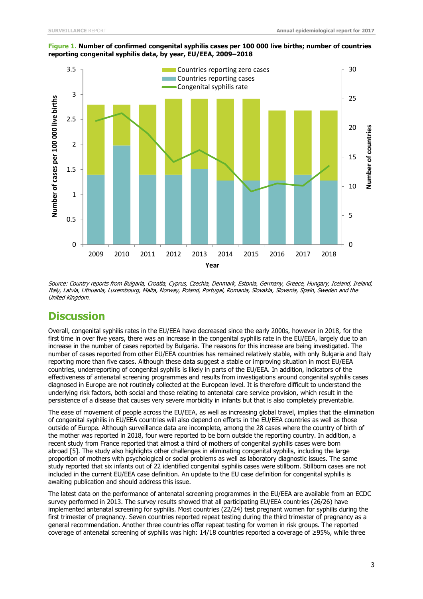

#### **Figure 1. Number of confirmed congenital syphilis cases per 100 000 live births; number of countries reporting congenital syphilis data, by year, EU/EEA, 2009–2018**

Source: Country reports from Bulgaria, Croatia, Cyprus, Czechia, Denmark, Estonia, Germany, Greece, Hungary, Iceland, Ireland, Italy, Latvia, Lithuania, Luxembourg, Malta, Norway, Poland, Portugal, Romania, Slovakia, Slovenia, Spain, Sweden and the United Kingdom.

## **Discussion**

Overall, congenital syphilis rates in the EU/EEA have decreased since the early 2000s, however in 2018, for the first time in over five years, there was an increase in the congenital syphilis rate in the EU/EEA, largely due to an increase in the number of cases reported by Bulgaria. The reasons for this increase are being investigated. The number of cases reported from other EU/EEA countries has remained relatively stable, with only Bulgaria and Italy reporting more than five cases. Although these data suggest a stable or improving situation in most EU/EEA countries, underreporting of congenital syphilis is likely in parts of the EU/EEA. In addition, indicators of the effectiveness of antenatal screening programmes and results from investigations around congenital syphilis cases diagnosed in Europe are not routinely collected at the European level. It is therefore difficult to understand the underlying risk factors, both social and those relating to antenatal care service provision, which result in the persistence of a disease that causes very severe morbidity in infants but that is also completely preventable.

The ease of movement of people across the EU/EEA, as well as increasing global travel, implies that the elimination of congenital syphilis in EU/EEA countries will also depend on efforts in the EU/EEA countries as well as those outside of Europe. Although surveillance data are incomplete, among the 28 cases where the country of birth of the mother was reported in 2018, four were reported to be born outside the reporting country. In addition, a recent study from France reported that almost a third of mothers of congenital syphilis cases were born abroad [5]. The study also highlights other challenges in eliminating congenital syphilis, including the large proportion of mothers with psychological or social problems as well as laboratory diagnostic issues. The same study reported that six infants out of 22 identified congenital syphilis cases were stillborn. Stillborn cases are not included in the current EU/EEA case definition. An update to the EU case definition for congenital syphilis is awaiting publication and should address this issue.

The latest data on the performance of antenatal screening programmes in the EU/EEA are available from an ECDC survey performed in 2013. The survey results showed that all participating EU/EEA countries (26/26) have implemented antenatal screening for syphilis. Most countries (22/24) test pregnant women for syphilis during the first trimester of pregnancy. Seven countries reported repeat testing during the third trimester of pregnancy as a general recommendation. Another three countries offer repeat testing for women in risk groups. The reported coverage of antenatal screening of syphilis was high: 14/18 countries reported a coverage of ≥95%, while three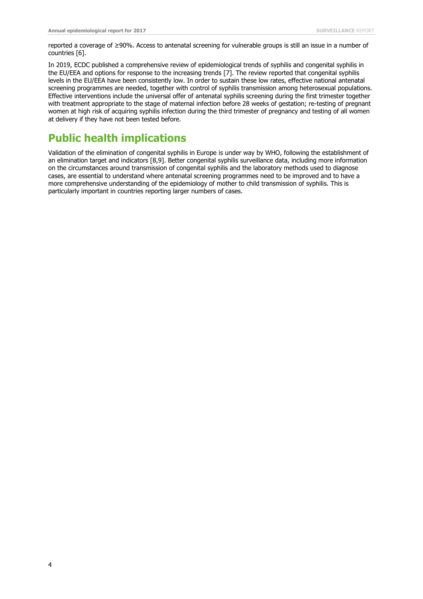reported a coverage of ≥90%. Access to antenatal screening for vulnerable groups is still an issue in a number of countries [6].

In 2019, ECDC published a comprehensive review of epidemiological trends of syphilis and congenital syphilis in the EU/EEA and options for response to the increasing trends [7]. The review reported that congenital syphilis levels in the EU/EEA have been consistently low. In order to sustain these low rates, effective national antenatal screening programmes are needed, together with control of syphilis transmission among heterosexual populations. Effective interventions include the universal offer of antenatal syphilis screening during the first trimester together with treatment appropriate to the stage of maternal infection before 28 weeks of gestation; re-testing of pregnant women at high risk of acquiring syphilis infection during the third trimester of pregnancy and testing of all women at delivery if they have not been tested before.

## **Public health implications**

Validation of the elimination of congenital syphilis in Europe is under way by WHO, following the establishment of an elimination target and indicators [8,9]. Better congenital syphilis surveillance data, including more information on the circumstances around transmission of congenital syphilis and the laboratory methods used to diagnose cases, are essential to understand where antenatal screening programmes need to be improved and to have a more comprehensive understanding of the epidemiology of mother to child transmission of syphilis. This is particularly important in countries reporting larger numbers of cases.